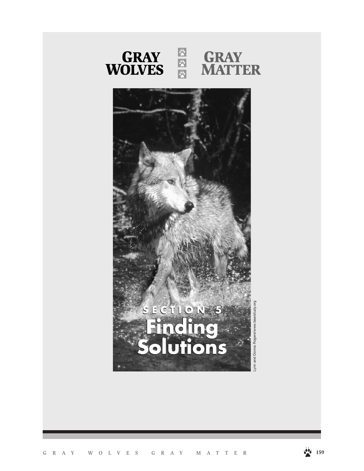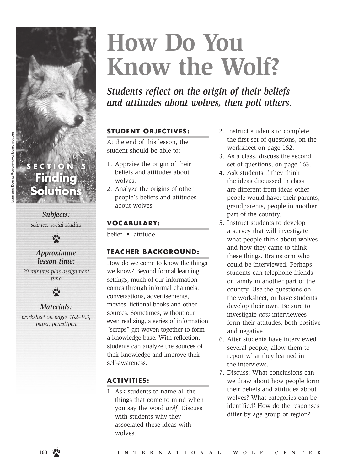# **How Do You Know the Wolf?**

*Students reflect on the origin of their beliefs and attitudes about wolves, then poll others.*

#### **STUDENT OBJECTIVES:**

At the end of this lesson, the student should be able to:

- 1. Appraise the origin of their beliefs and attitudes about wolves.
- 2. Analyze the origins of other people's beliefs and attitudes about wolves.

#### **VOCABULARY:**

belief • attitude

#### **TEACHER BACKGROUND:**

How do we come to know the things we know? Beyond formal learning settings, much of our information comes through informal channels: conversations, advertisements, movies, fictional books and other sources. Sometimes, without our even realizing, a series of information "scraps" get woven together to form a knowledge base. With reflection, students can analyze the sources of their knowledge and improve their self-awareness.

#### **ACT IV IT IES :**

1. Ask students to name all the things that come to mind when you say the word *wolf.* Discuss with students why they associated these ideas with wolves.

- 2. Instruct students to complete the first set of questions, on the worksheet on page 162.
- 3. As a class, discuss the second set of questions, on page 163.
- 4. Ask students if they think the ideas discussed in class are different from ideas other people would have: their parents, grandparents, people in another part of the country.
- 5. Instruct students to develop a survey that will investigate what people think about wolves and how they came to think these things. Brainstorm who could be interviewed. Perhaps students can telephone friends or family in another part of the country. Use the questions on the worksheet, or have students develop their own. Be sure to investigate *how* interviewees form their attitudes, both positive and negative.
- 6. After students have interviewed several people, allow them to report what they learned in the interviews.
- 7. Discuss: What conclusions can we draw about how people form their beliefs and attitudes about wolves? What categories can be identified? How do the responses differ by age group or region?

### **Finding Solution**

ECTIO

*Subjects: science, social studies*



#### *Approximate lesson time:*

*20 minutes plus assignment time*



#### *Materials:*

*worksheet on pages 162–163, paper, pencil/pen*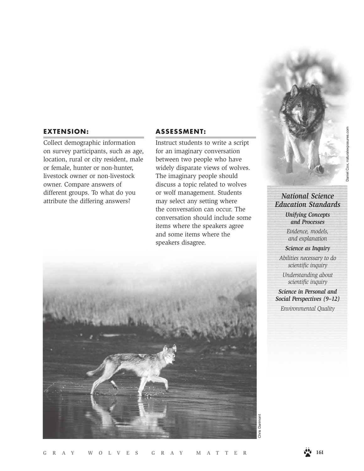#### **EXTENSION:**

Collect demographic information on survey participants, such as age, location, rural or city resident, male or female, hunter or non-hunter, livestock owner or non-livestock owner. Compare answers of different groups. To what do you attribute the differing answers?

#### **ASSESSMENT:**

Instruct students to write a script for an imaginary conversation between two people who have widely disparate views of wolves. The imaginary people should discuss a topic related to wolves or wolf management. Students may select any setting where the conversation can occur. The conversation should include some items where the speakers agree and some items where the speakers disagree.



#### *National Science Education Standards*

*Unifying Concepts and Processes*

*Evidence, models, and explanation*

*Science as Inquiry*

*Abilities necessary to do scientific inquiry*

*Understanding about scientific inquiry*

*Science in Personal and Social Perspectives (9–12)*

*Environmental Quality*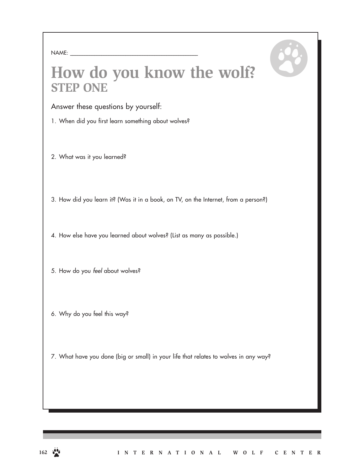### **How do you know the wolf? STEP ONE**

Answer these questions by yourself:

- 1. When did you first learn something about wolves?
- 2. What was it you learned?
- 3. How did you learn it? (Was it in a book, on TV, on the Internet, from a person?)
- 4. How else have you learned about wolves? (List as many as possible.)
- 5. How do you *feel* about wolves?
- 6. Why do you feel this way?
- 7. What have you done (big or small) in your life that relates to wolves in any way?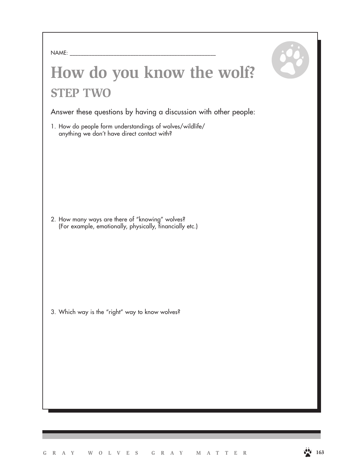| NAME:<br>the control of the control of the control of |  | _______ |  |
|-------------------------------------------------------|--|---------|--|
|                                                       |  |         |  |

### **How do you know the wolf? STEP TWO**

Answer these questions by having a discussion with other people:

1. How do people form understandings of wolves/wildlife/ anything we don't have direct contact with?

2. How many ways are there of "knowing" wolves? (For example, emotionally, physically, financially etc.)

3. Which way is the "right" way to know wolves?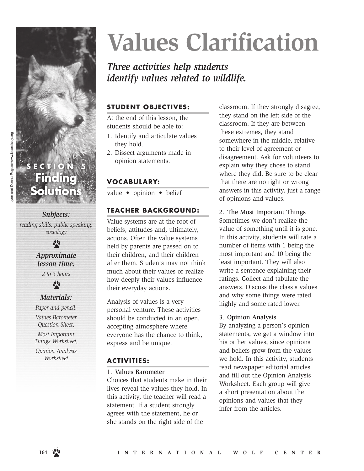

*reading skills, public speaking, sociology*

 $\frac{\partial}{\partial x}$ 

#### *Approximate lesson time:*

*2 to 3 hours*



#### *Materials:*

*Paper and pencil, Values Barometer Question Sheet,* 

*Most Important Things Worksheet,* 

*Opinion Analysis Worksheet*

# **Values Clarification**

### *Three activities help students identify values related to wildlife.*

#### **STUDENT OBJECTIVES:**

At the end of this lesson, the students should be able to:

- 1. Identify and articulate values they hold.
- 2. Dissect arguments made in opinion statements.

#### **VOCABULARY:**

value • opinion • belief

#### **TEACHER BACKGROUND:**

Value systems are at the root of beliefs, attitudes and, ultimately, actions. Often the value systems held by parents are passed on to their children, and their children after them. Students may not think much about their values or realize how deeply their values influence their everyday actions.

Analysis of values is a very personal venture. These activities should be conducted in an open, accepting atmosphere where everyone has the chance to think, express and be unique.

#### **ACTIVITIES:**

1. Values Barometer

Choices that students make in their lives reveal the values they hold. In this activity, the teacher will read a statement. If a student strongly agrees with the statement, he or she stands on the right side of the

classroom. If they strongly disagree, they stand on the left side of the classroom. If they are between these extremes, they stand somewhere in the middle, relative to their level of agreement or disagreement. Ask for volunteers to explain why they chose to stand where they did. Be sure to be clear that there are no right or wrong answers in this activity, just a range of opinions and values.

2. The Most Important Things Sometimes we don't realize the value of something until it is gone. In this activity, students will rate a number of items with 1 being the most important and 10 being the least important. They will also write a sentence explaining their ratings. Collect and tabulate the answers. Discuss the class's values and why some things were rated highly and some rated lower.

#### 3. Opinion Analysis

By analyzing a person's opinion statements, we get a window into his or her values, since opinions and beliefs grow from the values we hold. In this activity, students read newspaper editorial articles and fill out the Opinion Analysis Worksheet. Each group will give a short presentation about the opinions and values that they infer from the articles.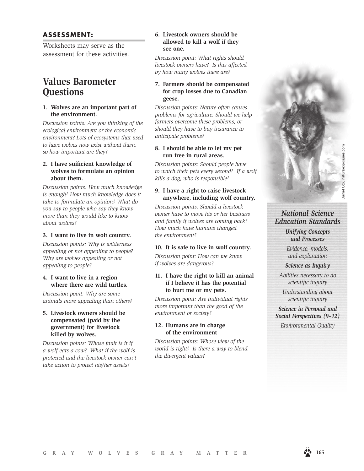#### **ASSESSMENT:**

Worksheets may serve as the assessment for these activities.

#### **Values Barometer Questions**

#### **1. Wolves are an important part of the environment.**

*Discussion points: Are you thinking of the ecological environment or the economic environment? Lots of ecosystems that used to have wolves now exist without them, so how important are they?*

#### **2. I have sufficient knowledge of wolves to formulate an opinion about them.**

*Discussion points: How much knowledge is enough? How much knowledge does it take to formulate an opinion? What do you say to people who say they know more than they would like to know about wolves?*

#### **3. I want to live in wolf country.**

*Discussion points: Why is wilderness appealing or not appealing to people? Why are wolves appealing or not appealing to people?* 

#### **4. I want to live in a region where there are wild turtles.**

*Discussion point: Why are some animals more appealing than others?*

#### **5. Livestock owners should be compensated (paid by the government) for livestock killed by wolves.**

*Discussion points: Whose fault is it if a wolf eats a cow? What if the wolf is protected and the livestock owner can't take action to protect his/her assets?* 

#### **6. Livestock owners should be allowed to kill a wolf if they see one.**

*Discussion point: What rights should livestock owners have? Is this affected by how many wolves there are?*

#### **7. Farmers should be compensated for crop losses due to Canadian geese.**

*Discussion points: Nature often causes problems for agriculture. Should we help farmers overcome these problems, or should they have to buy insurance to anticipate problems?*

#### **8. I should be able to let my pet run free in rural areas.**

*Discussion points: Should people have to watch their pets every second? If a wolf kills a dog, who is responsible?*

#### **9. I have a right to raise livestock anywhere, including wolf country.**

*Discussion points: Should a livestock owner have to move his or her business and family if wolves are coming back? How much have humans changed the environment?* 

#### **10. It is safe to live in wolf country.**

*Discussion point: How can we know if wolves are dangerous?*

#### **11. I have the right to kill an animal if I believe it has the potential to hurt me or my pets.**

*Discussion point: Are individual rights more important than the good of the environment or society?* 

#### **12. Humans are in charge of the environment**

*Discussion points: Whose view of the world is right? Is there a way to blend the divergent values?*

#### *National Science Education Standards*

*Unifying Concepts and Processes*

*Evidence, models, and explanation*

*Science as Inquiry*

*Abilities necessary to do scientific inquiry*

*Understanding about scientific inquiry*

*Science in Personal and Social Perspectives (9–12)*

*Environmental Quality*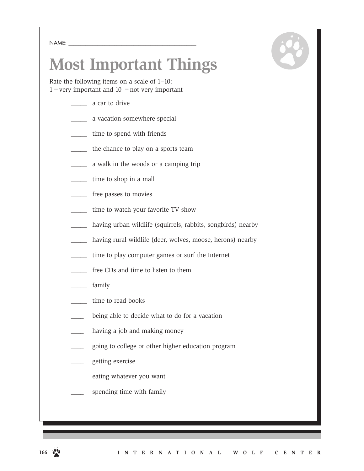NAME:

## **Most Important Things**

Rate the following items on a scale of 1–10:  $1 =$ very important and  $10 =$ not very important

- \_\_\_\_\_ a car to drive
- \_\_\_\_\_ a vacation somewhere special
- \_\_\_\_\_ time to spend with friends
- \_\_\_\_\_ the chance to play on a sports team
- \_\_\_\_\_ a walk in the woods or a camping trip
- \_\_\_\_\_ time to shop in a mall
- \_\_\_\_\_ free passes to movies
- time to watch your favorite TV show
- having urban wildlife (squirrels, rabbits, songbirds) nearby
- having rural wildlife (deer, wolves, moose, herons) nearby
- time to play computer games or surf the Internet
- \_\_\_\_\_ free CDs and time to listen to them
- family
- time to read books
- being able to decide what to do for a vacation
- having a job and making money
- \_\_\_\_ going to college or other higher education program
- \_\_\_\_ getting exercise
- eating whatever you want
- spending time with family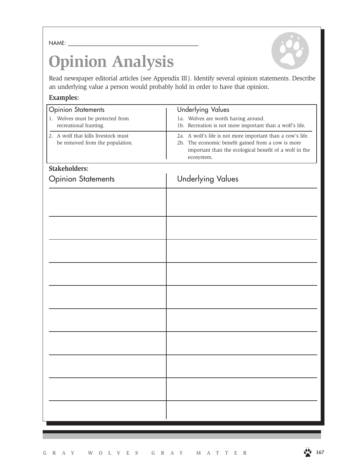NAME: \_\_\_\_\_\_\_\_\_\_\_\_\_\_\_\_\_\_\_\_\_\_\_\_\_\_\_\_\_\_\_\_\_\_\_\_\_\_\_\_\_\_\_\_\_\_\_\_\_\_\_\_\_\_

## **Opinion Analysis**

Read newspaper editorial articles (see Appendix III). Identify several opinion statements. Describe an underlying value a person would probably hold in order to have that opinion.

#### **Examples:**

| 1a. Wolves are worth having around.<br>1. Wolves must be protected from<br>recreational hunting.<br>1b. Recreation is not more important than a wolf's life.<br>2. A wolf that kills livestock must<br>2a. A wolf's life is not more important than a cow's life.<br>be removed from the population.<br>2b. The economic benefit gained from a cow is more<br>important than the ecological benefit of a wolf in the<br>ecosystem.<br><b>Stakeholders:</b> |  |
|------------------------------------------------------------------------------------------------------------------------------------------------------------------------------------------------------------------------------------------------------------------------------------------------------------------------------------------------------------------------------------------------------------------------------------------------------------|--|
|                                                                                                                                                                                                                                                                                                                                                                                                                                                            |  |
|                                                                                                                                                                                                                                                                                                                                                                                                                                                            |  |
|                                                                                                                                                                                                                                                                                                                                                                                                                                                            |  |
| <b>Underlying Values</b><br><b>Opinion Statements</b>                                                                                                                                                                                                                                                                                                                                                                                                      |  |
|                                                                                                                                                                                                                                                                                                                                                                                                                                                            |  |
|                                                                                                                                                                                                                                                                                                                                                                                                                                                            |  |
|                                                                                                                                                                                                                                                                                                                                                                                                                                                            |  |
|                                                                                                                                                                                                                                                                                                                                                                                                                                                            |  |
|                                                                                                                                                                                                                                                                                                                                                                                                                                                            |  |
|                                                                                                                                                                                                                                                                                                                                                                                                                                                            |  |
|                                                                                                                                                                                                                                                                                                                                                                                                                                                            |  |
|                                                                                                                                                                                                                                                                                                                                                                                                                                                            |  |
|                                                                                                                                                                                                                                                                                                                                                                                                                                                            |  |
|                                                                                                                                                                                                                                                                                                                                                                                                                                                            |  |
|                                                                                                                                                                                                                                                                                                                                                                                                                                                            |  |
|                                                                                                                                                                                                                                                                                                                                                                                                                                                            |  |
|                                                                                                                                                                                                                                                                                                                                                                                                                                                            |  |
|                                                                                                                                                                                                                                                                                                                                                                                                                                                            |  |
|                                                                                                                                                                                                                                                                                                                                                                                                                                                            |  |
|                                                                                                                                                                                                                                                                                                                                                                                                                                                            |  |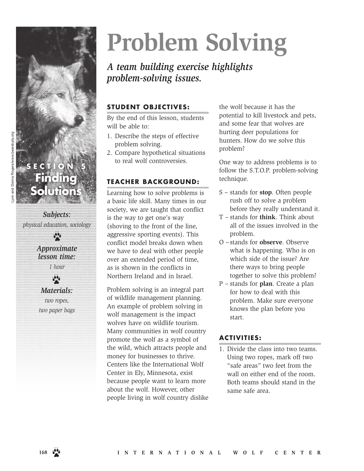

*Subjects: physical education, sociology*

> *Approximate lesson time:*

 $\ddot{\bullet}$ 

*1 hour*  $\ddot{\bullet}$ 

#### *Materials:*

*two ropes, two paper bags*

# **Problem Solving**

#### *A team building exercise highlights problem-solving issues.*

#### **STUDENT OBJECTIVES:**

By the end of this lesson, students will be able to:

- 1. Describe the steps of effective problem solving.
- 2. Compare hypothetical situations to real wolf controversies.

#### **TEACHER BACKGROUND:**

Learning how to solve problems is a basic life skill. Many times in our society, we are taught that conflict is the way to get one's way (shoving to the front of the line, aggressive sporting events). This conflict model breaks down when we have to deal with other people over an extended period of time, as is shown in the conflicts in Northern Ireland and in Israel.

Problem solving is an integral part of wildlife management planning. An example of problem solving in wolf management is the impact wolves have on wildlife tourism. Many communities in wolf country promote the wolf as a symbol of the wild, which attracts people and money for businesses to thrive. Centers like the International Wolf Center in Ely, Minnesota, exist because people want to learn more about the wolf. However, other people living in wolf country dislike

the wolf because it has the potential to kill livestock and pets, and some fear that wolves are hurting deer populations for hunters. How do we solve this problem?

One way to address problems is to follow the S.T.O.P. problem-solving technique.

- S stands for **stop**. Often people rush off to solve a problem before they really understand it.
- T stands for **think**. Think about all of the issues involved in the problem.
- O –stands for **observe**. Observe what is happening. Who is on which side of the issue? Are there ways to bring people together to solve this problem?
- P stands for **plan**. Create a plan for how to deal with this problem. Make sure everyone knows the plan before you start.

#### **ACTIVITIES:**

1. Divide the class into two teams. Using two ropes, mark off two "safe areas" two feet from the wall on either end of the room. Both teams should stand in the same safe area.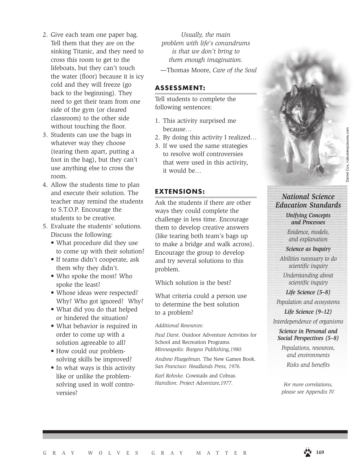- 2. Give each team one paper bag. Tell them that they are on the sinking Titanic, and they need to cross this room to get to the lifeboats, but they can't touch the water (floor) because it is icy cold and they will freeze (go back to the beginning). They need to get their team from one side of the gym (or cleared classroom) to the other side without touching the floor.
- 3. Students can use the bags in whatever way they choose (tearing them apart, putting a foot in the bag), but they can't use anything else to cross the room.
- 4. Allow the students time to plan and execute their solution. The teacher may remind the students to S.T.O.P. Encourage the students to be creative.
- 5. Evaluate the students' solutions. Discuss the following:
	- What procedure did they use to come up with their solution?
	- If teams didn't cooperate, ask them why they didn't.
	- Who spoke the most? Who spoke the least?
	- Whose ideas were respected? Why? Who got ignored? Why?
	- What did you do that helped or hindered the situation?
	- What behavior is required in order to come up with a solution agreeable to all?
	- How could our problemsolving skills be improved?
	- In what ways is this activity like or unlike the problemsolving used in wolf controversies?

*Usually, the main problem with life's conundrums is that we don't bring to them enough imagination.*

—Thomas Moore, *Care of the Soul*

#### **ASSESSMENT:**

Tell students to complete the following sentences:

- 1. This activity surprised me because…
- 2. By doing this activity I realized…
- 3. If we used the same strategies to resolve wolf controversies that were used in this activity, it would be…

#### **EXTENSIONS:**

Ask the students if there are other ways they could complete the challenge in less time. Encourage them to develop creative answers (like tearing both team's bags up to make a bridge and walk across). Encourage the group to develop and try several solutions to this problem.

Which solution is the best?

What criteria could a person use to determine the best solution to a problem?

*Additional Resources:*

*Paul Darst.* Outdoor Adventure Activities for School and Recreation Programs. *Minneapolis: Burgess Publishing,1980.*

*Andrew Fluegelman.* The New Games Book. *San Francisco: Headlands Press, 1976.*

*Karl Rohnke.* Cowstails and Cobras*. Hamilton: Project Adventure,1977.*

*National Science Education Standards* 

> *Unifying Concepts and Processes*

*Evidence, models, and explanation*

*Science as Inquiry*

*Abilities necessary to do scientific inquiry*

*Understanding about scientific inquiry*

*Life Science (5–8)*

*Population and ecosystems*

*Life Science (9–12) Interdependence of organisms*

*Science in Personal and Social Perspectives (5–8)*

*Populations, resources, and environments Risks and benefits*

*For more correlations, please see Appendix IV.*

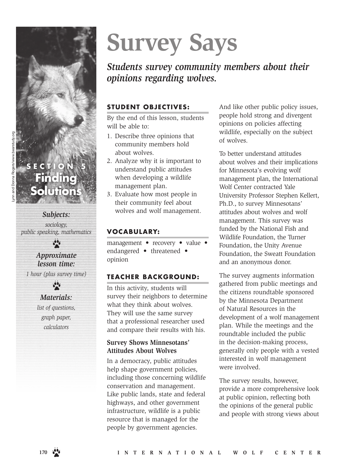

### *Subjects:*

*sociology, public speaking, mathematics*

 $\ddot{\bullet}$ 

#### *Approximate lesson time:*

*1 hour (plus survey time)*  $\frac{1}{2}$ 

#### *Materials: list of questions,*

*graph paper, calculators*

# **Survey Says**

*Students survey community members about their opinions regarding wolves.*

#### **STUDENT OBJECTIVES:**

By the end of this lesson, students will be able to:

- 1. Describe three opinions that community members hold about wolves.
- 2. Analyze why it is important to understand public attitudes when developing a wildlife management plan.
- 3. Evaluate how most people in their community feel about wolves and wolf management.

#### **VOCABULARY:**

management • recovery • value • endangered • threatened • opinion

#### **TEACHER BACKGROUND:**

In this activity, students will survey their neighbors to determine what they think about wolves. They will use the same survey that a professional researcher used and compare their results with his.

#### **Survey Shows Minnesotans' Attitudes About Wolves**

In a democracy, public attitudes help shape government policies, including those concerning wildlife conservation and management. Like public lands, state and federal highways, and other government infrastructure, wildlife is a public resource that is managed for the people by government agencies.

And like other public policy issues, people hold strong and divergent opinions on policies affecting wildlife, especially on the subject of wolves.

To better understand attitudes about wolves and their implications for Minnesota's evolving wolf management plan, the International Wolf Center contracted Yale University Professor Stephen Kellert, Ph.D., to survey Minnesotans' attitudes about wolves and wolf management. This survey was funded by the National Fish and Wildlife Foundation, the Turner Foundation, the Unity Avenue Foundation, the Sweatt Foundation and an anonymous donor.

The survey augments information gathered from public meetings and the citizens roundtable sponsored by the Minnesota Department of Natural Resources in the development of a wolf management plan. While the meetings and the roundtable included the public in the decision-making process, generally only people with a vested interested in wolf management were involved.

The survey results, however, provide a more comprehensive look at public opinion, reflecting both the opinions of the general public and people with strong views about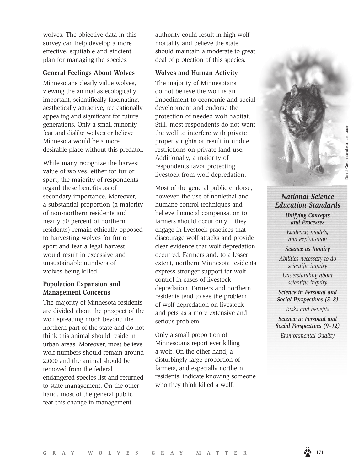Daniel Cox, naturalexposures.com

*National Science Education Standards* 

> *Unifying Concepts and Processes*

*Evidence, models, and explanation Science as Inquiry*

*Abilities necessary to do scientific inquiry*

*Understanding about scientific inquiry*

*Science in Personal and Social Perspectives (5–8)*

*Risks and benefits*

*Science in Personal and Social Perspectives (9–12)*

*Environmental Quality* 

wolves. The objective data in this survey can help develop a more effective, equitable and efficient plan for managing the species.

#### **General Feelings About Wolves**

Minnesotans clearly value wolves, viewing the animal as ecologically important, scientifically fascinating, aesthetically attractive, recreationally appealing and significant for future generations. Only a small minority fear and dislike wolves or believe Minnesota would be a more desirable place without this predator.

While many recognize the harvest value of wolves, either for fur or sport, the majority of respondents regard these benefits as of secondary importance. Moreover, a substantial proportion (a majority of non-northern residents and nearly 50 percent of northern residents) remain ethically opposed to harvesting wolves for fur or sport and fear a legal harvest would result in excessive and unsustainable numbers of wolves being killed.

#### **Population Expansion and Management Concerns**

The majority of Minnesota residents are divided about the prospect of the wolf spreading much beyond the northern part of the state and do not think this animal should reside in urban areas. Moreover, most believe wolf numbers should remain around 2,000 and the animal should be removed from the federal endangered species list and returned to state management. On the other hand, most of the general public fear this change in management

authority could result in high wolf mortality and believe the state should maintain a moderate to great deal of protection of this species.

#### **Wolves and Human Activity**

The majority of Minnesotans do not believe the wolf is an impediment to economic and social development and endorse the protection of needed wolf habitat. Still, most respondents do not want the wolf to interfere with private property rights or result in undue restrictions on private land use. Additionally, a majority of respondents favor protecting livestock from wolf depredation.

Most of the general public endorse, however, the use of nonlethal and humane control techniques and believe financial compensation to farmers should occur only if they engage in livestock practices that discourage wolf attacks and provide clear evidence that wolf depredation occurred. Farmers and, to a lesser extent, northern Minnesota residents express stronger support for wolf control in cases of livestock depredation. Farmers and northern residents tend to see the problem of wolf depredation on livestock and pets as a more extensive and serious problem.

Only a small proportion of Minnesotans report ever killing a wolf. On the other hand, a disturbingly large proportion of farmers, and especially northern residents, indicate knowing someone who they think killed a wolf.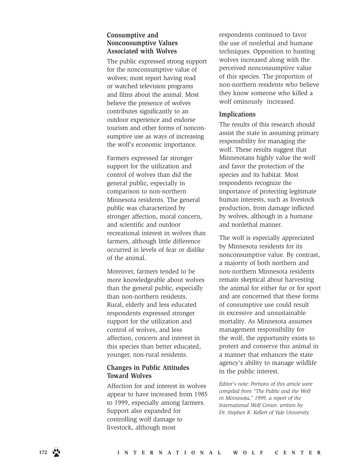#### **Consumptive and Nonconsumptive Values Associated with Wolves**

The public expressed strong support for the nonconsumptive value of wolves; most report having read or watched television programs and films about the animal. Most believe the presence of wolves contributes significantly to an outdoor experience and endorse tourism and other forms of noncon sumptive use as ways of increasing the wolf's economic importance.

Farmers expressed far stronger support for the utilization and control of wolves than did the general public, especially in comparison to non-northern Minnesota residents. The general public was characterized by stronger affection, moral concern, and scientific and outdoor recreational interest in wolves than farmers, although little difference occurred in levels of fear or dislike of the animal.

Moreover, farmers tended to be more knowledgeable about wolves than the general public, especially than non-northern residents. Rural, elderly and less educated respondents expressed stronger support for the utilization and control of wolves, and less affection, concern and interest in this species than better educated, younger, non-rural residents.

#### **Changes in Public Attitudes Toward Wolves**

Affection for and interest in wolves appear to have increased from 1985 to 1999, especially among farmers. Support also expanded for controlling wolf damage to livestock, although most

respondents continued to favor the use of nonlethal and humane techniques. Opposition to hunting wolves increased along with the perceived nonconsumptive value of this species. The proportion of non-northern residents who believe they know someone who killed a wolf ominously increased.

#### **Implications**

The results of this research should assist the state in assuming primary responsibility for managing the wolf. These results suggest that Minnesotans highly value the wolf and favor the protection of the species and its habitat. Most respondents recognize the importance of protecting legitimate human interests, such as livestock production, from damage inflicted by wolves, although in a humane and nonlethal manner.

The wolf is especially appreciated by Minnesota residents for its nonconsumptive value. By contrast, a majority of both northern and non-northern Minnesota residents remain skeptical about harvesting the animal for either fur or for sport and are concerned that these forms of consumptive use could result in excessive and unsustainable mortality. As Minnesota assumes management responsibility for the wolf, the opportunity exists to protect and conserve this animal in a manner that enhances the state agency's ability to manage wildlife in the public interest.

*Editor's note: Portions of this article were compiled from "The Public and the Wolf in Minnesota," 1999, a report of the International Wolf Center, written by Dr. Stephen R. Kellert of Yale University.*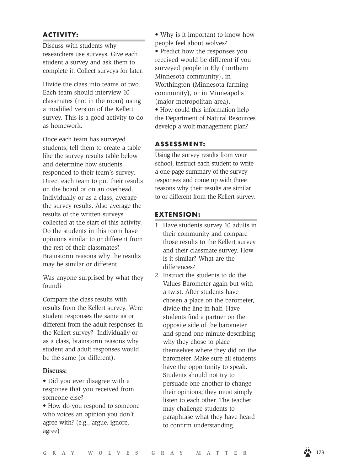#### **ACTIVITY:**

Discuss with students why researchers use surveys. Give each student a survey and ask them to complete it. Collect surveys for later.

Divide the class into teams of two. Each team should interview 10 classmates (not in the room) using a modified version of the Kellert survey. This is a good activity to do as homework.

Once each team has surveyed students, tell them to create a table like the survey results table below and determine how students responded to their team's survey. Direct each team to put their results on the board or on an overhead. Individually or as a class, average the survey results. Also average the results of the written surveys collected at the start of this activity. Do the students in this room have opinions similar to or different from the rest of their classmates? Brainstorm reasons why the results may be similar or different.

Was anyone surprised by what they found?

Compare the class results with results from the Kellert survey. Were student responses the same as or different from the adult responses in the Kellert survey? Individually or as a class, brainstorm reasons why student and adult responses would be the same (or different).

#### **Discuss:**

- Did you ever disagree with a response that you received from someone else?
- How do you respond to someone who voices an opinion you don't agree with? (e.g., argue, ignore, agree)
- Why is it important to know how people feel about wolves?
- Predict how the responses you received would be different if you surveyed people in Ely (northern Minnesota community), in Worthington (Minnesota farming community), or in Minneapolis (major metropolitan area).

• How could this information help the Department of Natural Resources develop a wolf management plan?

#### **ASSESSMENT:**

Using the survey results from your school, instruct each student to write a one-page summary of the survey responses and come up with three reasons why their results are similar to or different from the Kellert survey.

#### **EXTENSION:**

- 1. Have students survey 10 adults in their community and compare those results to the Kellert survey and their classmate survey. How is it similar? What are the differences?
- 2. Instruct the students to do the Values Barometer again but with a twist. After students have chosen a place on the barometer, divide the line in half. Have students find a partner on the opposite side of the barometer and spend one minute describing why they chose to place themselves where they did on the barometer. Make sure all students have the opportunity to speak. Students should not try to persuade one another to change their opinions; they must simply listen to each other. The teacher may challenge students to paraphrase what they have heard to confirm understanding.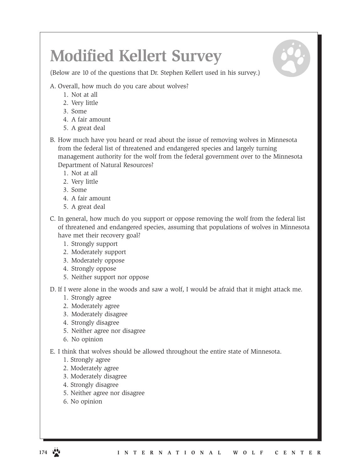## **Modified Kellert Survey**

(Below are 10 of the questions that Dr. Stephen Kellert used in his survey.)

A. Overall, how much do you care about wolves?

- 1. Not at all
- 2. Very little
- 3. Some
- 4. A fair amount
- 5. A great deal
- B. How much have you heard or read about the issue of removing wolves in Minnesota from the federal list of threatened and endangered species and largely turning management authority for the wolf from the federal government over to the Minnesota Department of Natural Resources?
	- 1. Not at all
	- 2. Very little
	- 3. Some
	- 4. A fair amount
	- 5. A great deal
- C. In general, how much do you support or oppose removing the wolf from the federal list of threatened and endangered species, assuming that populations of wolves in Minnesota have met their recovery goal?
	- 1. Strongly support
	- 2. Moderately support
	- 3. Moderately oppose
	- 4. Strongly oppose
	- 5. Neither support nor oppose

D. If I were alone in the woods and saw a wolf, I would be afraid that it might attack me.

- 1. Strongly agree
- 2. Moderately agree
- 3. Moderately disagree
- 4. Strongly disagree
- 5. Neither agree nor disagree
- 6. No opinion

E. I think that wolves should be allowed throughout the entire state of Minnesota.

- 1. Strongly agree
- 2. Moderately agree
- 3. Moderately disagree
- 4. Strongly disagree
- 5. Neither agree nor disagree
- 6. No opinion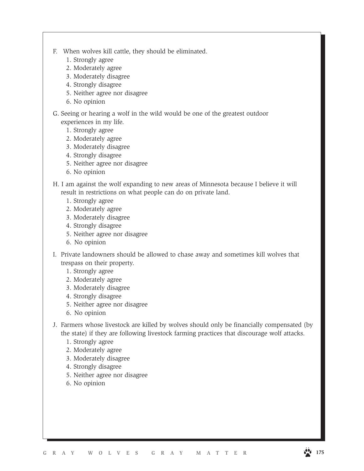- F. When wolves kill cattle, they should be eliminated.
	- 1. Strongly agree
	- 2. Moderately agree
	- 3. Moderately disagree
	- 4. Strongly disagree
	- 5. Neither agree nor disagree
	- 6. No opinion
- G. Seeing or hearing a wolf in the wild would be one of the greatest outdoor experiences in my life.
	- 1. Strongly agree
	- 2. Moderately agree
	- 3. Moderately disagree
	- 4. Strongly disagree
	- 5. Neither agree nor disagree
	- 6. No opinion
- H. I am against the wolf expanding to new areas of Minnesota because I believe it will result in restrictions on what people can do on private land.
	- 1. Strongly agree
	- 2. Moderately agree
	- 3. Moderately disagree
	- 4. Strongly disagree
	- 5. Neither agree nor disagree
	- 6. No opinion
- I. Private landowners should be allowed to chase away and sometimes kill wolves that trespass on their property.
	- 1. Strongly agree
	- 2. Moderately agree
	- 3. Moderately disagree
	- 4. Strongly disagree
	- 5. Neither agree nor disagree
	- 6. No opinion
- J. Farmers whose livestock are killed by wolves should only be financially compensated (by the state) if they are following livestock farming practices that discourage wolf attacks.
	- 1. Strongly agree
	- 2. Moderately agree
	- 3. Moderately disagree
	- 4. Strongly disagree
	- 5. Neither agree nor disagree
	- 6. No opinion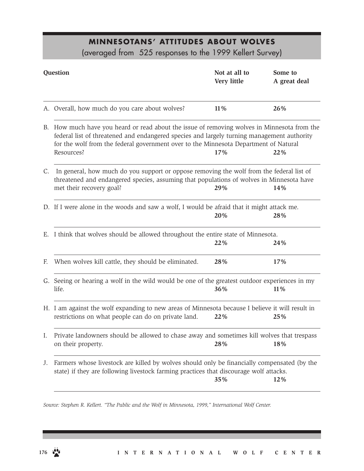#### **MINNESOTANS' ATTITUDES ABOUT WOLVES**

(averaged from 525 responses to the 1999 Kellert Survey)

| Question |                                                                                                                                                                                                                                                                                                 | Not at all to<br>Very little | Some to<br>A great deal |
|----------|-------------------------------------------------------------------------------------------------------------------------------------------------------------------------------------------------------------------------------------------------------------------------------------------------|------------------------------|-------------------------|
|          | A. Overall, how much do you care about wolves?                                                                                                                                                                                                                                                  | 11%                          | 26%                     |
|          | B. How much have you heard or read about the issue of removing wolves in Minnesota from the<br>federal list of threatened and endangered species and largely turning management authority<br>for the wolf from the federal government over to the Minnesota Department of Natural<br>Resources? | 17%                          | 22%                     |
| C.       | In general, how much do you support or oppose removing the wolf from the federal list of<br>threatened and endangered species, assuming that populations of wolves in Minnesota have<br>met their recovery goal?                                                                                | 29%                          | 14%                     |
|          | D. If I were alone in the woods and saw a wolf, I would be afraid that it might attack me.                                                                                                                                                                                                      | 20%                          | 28%                     |
|          | E. I think that wolves should be allowed throughout the entire state of Minnesota.                                                                                                                                                                                                              | 22%                          | 24%                     |
| F.       | When wolves kill cattle, they should be eliminated.                                                                                                                                                                                                                                             | 28%                          | 17%                     |
|          | G. Seeing or hearing a wolf in the wild would be one of the greatest outdoor experiences in my<br>life.<br>36%<br>11%                                                                                                                                                                           |                              |                         |
|          | H. I am against the wolf expanding to new areas of Minnesota because I believe it will result in<br>restrictions on what people can do on private land.                                                                                                                                         | 22%                          | 25%                     |
| Ι.       | Private landowners should be allowed to chase away and sometimes kill wolves that trespass<br>on their property.                                                                                                                                                                                | 28%                          | 18%                     |
| J.       | Farmers whose livestock are killed by wolves should only be financially compensated (by the<br>state) if they are following livestock farming practices that discourage wolf attacks.                                                                                                           | 35%                          | 12%                     |

*Source: Stephen R. Kellert. "The Public and the Wolf in Minnesota, 1999," International Wolf Center.*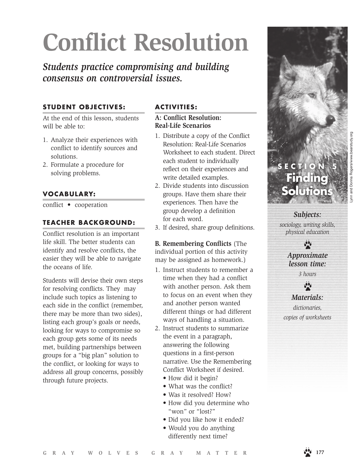# **Conflict Resolution**

*Students practice compromising and building consensus on controversial issues.*

#### **STUDENT OBJECTIVES:**

At the end of this lesson, students will be able to:

- 1. Analyze their experiences with conflict to identify sources and solutions.
- 2. Formulate a procedure for solving problems.

#### **VOCABULARY:**

conflict • cooperation

#### **TEACHER BACKGROUND:**

Conflict resolution is an important life skill. The better students can identify and resolve conflicts, the easier they will be able to navigate the oceans of life.

Students will devise their own steps for resolving conflicts. They may include such topics as listening to each side in the conflict (remember, there may be more than two sides), listing each group's goals or needs, looking for ways to compromise so each group gets some of its needs met, building partnerships between groups for a "big plan" solution to the conflict, or looking for ways to address all group concerns, possibly through future projects.

#### **ACTIVITIES:**

#### **A: Conflict Resolution: Real-Life Scenarios**

- 1. Distribute a copy of the Conflict Resolution: Real-Life Scenarios Worksheet to each student. Direct each student to individually reflect on their experiences and write detailed examples.
- 2. Divide students into discussion groups. Have them share their experiences. Then have the group develop a definition for each word.
- 3. If desired, share group definitions.

#### **B. Remembering Conflicts** (The individual portion of this activity may be assigned as homework.)

- 1. Instruct students to remember a time when they had a conflict with another person. Ask them to focus on an event when they and another person wanted different things or had different ways of handling a situation.
- 2. Instruct students to summarize the event in a paragraph, answering the following questions in a first-person narrative. Use the Remembering Conflict Worksheet if desired.
	- How did it begin?
	- What was the conflict?
	- Was it resolved? How?
	- How did you determine who "won" or "lost?"
	- Did you like how it ended?
	- Would you do anything differently next time?



*Subjects: sociology, writing skills, physical education*

> $\cdot$ *Approximate lesson time:*

> > *3 hours*

 $\bullet$ *Materials: dictionaries,* 

*copies of worksheets*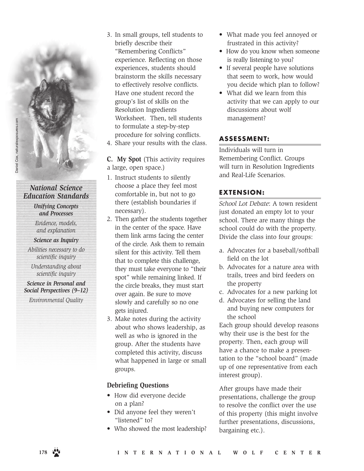#### *National Science Education Standards*

*Unifying Concepts and Processes*

*Evidence, models, and explanation*

#### *Science as Inquiry*

*Abilities necessary to do scientific inquiry*

*Understanding about scientific inquiry*

#### *Science in Personal and Social Perspectives (9–12)*

*Environmental Quality* 

- 3. In small groups, tell students to briefly describe their "Remembering Conflicts" experience. Reflecting on those experiences, students should brainstorm the skills necessary to effectively resolve conflicts. Have one student record the group's list of skills on the Resolution Ingredients Worksheet. Then, tell students to formulate a step-by-step procedure for solving conflicts.
- 4. Share your results with the class.

**C. My Spot** (This activity requires a large, open space.)

- 1. Instruct students to silently choose a place they feel most comfortable in, but not to go there (establish boundaries if necessary).
- 2. Then gather the students together in the center of the space. Have them link arms facing the center of the circle. Ask them to remain silent for this activity. Tell them that to complete this challenge, they must take everyone to "their spot" while remaining linked. If the circle breaks, they must start over again. Be sure to move slowly and carefully so no one gets injured.
- 3. Make notes during the activity about who shows leadership, as well as who is ignored in the group. After the students have completed this activity, discuss what happened in large or small groups.

#### **Debriefing Questions**

- How did everyone decide on a plan?
- Did anyone feel they weren't "listened" to?
- Who showed the most leadership?
- What made you feel annoyed or frustrated in this activity?
- How do you know when someone is really listening to you?
- If several people have solutions that seem to work, how would you decide which plan to follow?
- What did we learn from this activity that we can apply to our discussions about wolf management?

#### **ASSESSMENT:**

Individuals will turn in Remembering Conflict. Groups will turn in Resolution Ingredients and Real-Life Scenarios.

#### **EXTENSION:**

*School Lot Debate*: A town resident just donated an empty lot to your school. There are many things the school could do with the property. Divide the class into four groups:

- a. Advocates for a baseball/softball field on the lot
- b. Advocates for a nature area with trails, trees and bird feeders on the property
- c. Advocates for a new parking lot
- d. Advocates for selling the land and buying new computers for the school

Each group should develop reasons why their use is the best for the property. Then, each group will have a chance to make a presentation to the "school board" (made up of one representative from each interest group).

After groups have made their presentations, challenge the group to resolve the conflict over the use of this property (this might involve further presentations, discussions, bargaining etc.).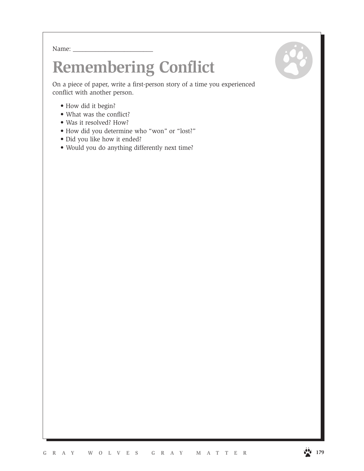Name:  $\_\_$ 

## **Remembering Conflict**

On a piece of paper, write a first-person story of a time you experienced conflict with another person.

- How did it begin?
- What was the conflict?
- Was it resolved? How?
- How did you determine who "won" or "lost?"
- Did you like how it ended?
- Would you do anything differently next time?

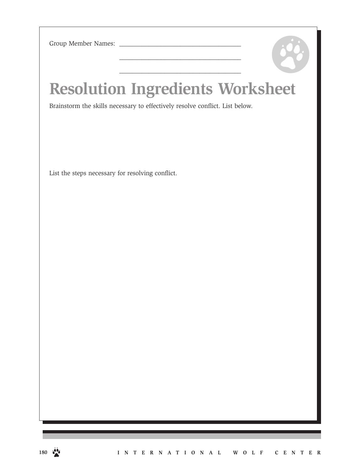Group Member Names:

## **Resolution Ingredients Worksheet**

\_\_\_\_\_\_\_\_\_\_\_\_\_\_\_\_\_\_\_\_\_\_\_\_\_\_\_\_\_\_\_\_\_\_\_\_\_\_

 $\overline{\phantom{a}}$  , and the set of the set of the set of the set of the set of the set of the set of the set of the set of the set of the set of the set of the set of the set of the set of the set of the set of the set of the s

Brainstorm the skills necessary to effectively resolve conflict. List below.

List the steps necessary for resolving conflict.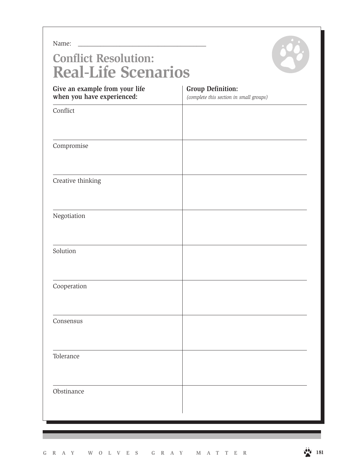Name:

### **Conflict Resolution: Real-Life Scenarios**



| Give an example from your life<br>when you have experienced: | <b>Group Definition:</b><br>(complete this section in small groups) |
|--------------------------------------------------------------|---------------------------------------------------------------------|
| Conflict                                                     |                                                                     |
|                                                              |                                                                     |
| Compromise                                                   |                                                                     |
|                                                              |                                                                     |
| Creative thinking                                            |                                                                     |
|                                                              |                                                                     |
| Negotiation                                                  |                                                                     |
|                                                              |                                                                     |
| Solution                                                     |                                                                     |
|                                                              |                                                                     |
| Cooperation                                                  |                                                                     |
|                                                              |                                                                     |
| Consensus                                                    |                                                                     |
|                                                              |                                                                     |
| Tolerance                                                    |                                                                     |
|                                                              |                                                                     |
| Obstinance                                                   |                                                                     |
|                                                              |                                                                     |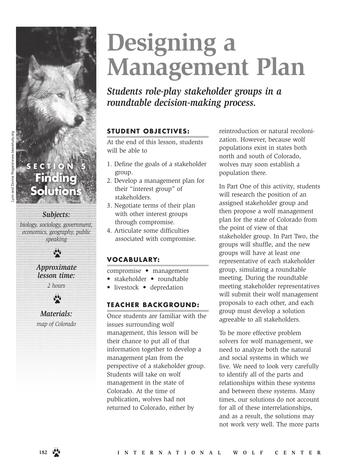# **Designing a Management Plan**

*Students role-play stakeholder groups in a roundtable decision-making process.*

#### **STUDENT OBJECTIVES:**

At the end of this lesson, students will be able to

- 1. Define the goals of a stakeholder group.
- 2. Develop a management plan for their "interest group" of stakeholders.
- 3. Negotiate terms of their plan with other interest groups through compromise.
- 4. Articulate some difficulties associated with compromise.

#### **VOCABULARY:**

- compromise management
- stakeholder roundtable
- livestock depredation

#### **TEACHER BACKGROUND:**

Once students are familiar with the issues surrounding wolf management, this lesson will be their chance to put all of that information together to develop a management plan from the perspective of a stakeholder group. Students will take on wolf management in the state of Colorado. At the time of publication, wolves had not returned to Colorado, either by

reintroduction or natural recolonization. However, because wolf populations exist in states both north and south of Colorado, wolves may soon establish a population there.

In Part One of this activity, students will research the position of an assigned stakeholder group and then propose a wolf management plan for the state of Colorado from the point of view of that stakeholder group. In Part Two, the groups will shuffle, and the new groups will have at least one representative of each stakeholder group, simulating a roundtable meeting. During the roundtable meeting stakeholder representatives will submit their wolf management proposals to each other, and each group must develop a solution agreeable to all stakeholders.

To be more effective problem solvers for wolf management, we need to analyze both the natural and social systems in which we live. We need to look very carefully to identify all of the parts and relationships within these systems and between these systems. Many times, our solutions do not account for all of these interrelationships, and as a result, the solutions may not work very well. The more parts

### *Subjects:*

**Finding** 

**Solutions**

ECTIO

*biology, sociology, government, economics, geography, public speaking*



*lesson time: 2 hours*



*Materials: map of Colorado*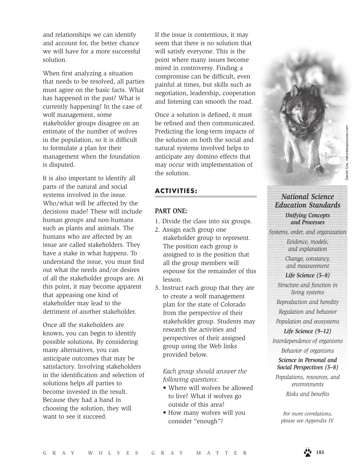and relationships we can identify and account for, the better chance we will have for a more successful solution.

When first analyzing a situation that needs to be resolved, all parties must agree on the basic facts. What has happened in the past? What is currently happening? In the case of wolf management, some stakeholder groups disagree on an estimate of the number of wolves in the population, so it is difficult to formulate a plan for their management when the foundation is disputed.

It is also important to identify all parts of the natural and social systems involved in the issue. Who/what will be affected by the decisions made? These will include human groups and non-humans such as plants and animals. The humans who are affected by an issue are called stakeholders. They have a stake in what happens. To understand the issue, you must find out what the needs and/or desires of all the stakeholder groups are. At this point, it may become apparent that appeasing one kind of stakeholder may lead to the detriment of another stakeholder.

Once all the stakeholders are known, you can begin to identify possible solutions. By considering many alternatives, you can anticipate outcomes that may be satisfactory. Involving stakeholders in the identification and selection of solutions helps all parties to become invested in the result. Because they had a hand in choosing the solution, they will want to see it succeed.

If the issue is contentious, it may seem that there is no solution that will satisfy everyone. This is the point where many issues become mired in controversy. Finding a compromise can be difficult, even painful at times, but skills such as negotiation, leadership, cooperation and listening can smooth the road.

Once a solution is defined, it must be refined and then communicated. Predicting the long-term impacts of the solution on both the social and natural systems involved helps to anticipate any domino effects that may occur with implementation of the solution.

#### **ACTIVITIES:**

#### **PART ONE:**

- 1. Divide the class into six groups.
- 2. Assign each group one stakeholder group to represent. The position each group is assigned to is the position that all the group members will espouse for the remainder of this lesson.
- 3. Instruct each group that they are to create a wolf management plan for the state of Colorado from the perspective of their stakeholder group. Students may research the activities and perspectives of their assigned group using the Web links provided below.

#### *Each group should answer the following questions:*

- Where will wolves be allowed to live? What if wolves go outside of this area?
- How many wolves will you consider "enough"?

# *National Science Education Standards*

*Unifying Concepts and Processes*

*Systems, order, and organization*

*Evidence, models, and explanation*

*Change, constancy, and measurement*

*Life Science (5–8)*

*Structure and function in living systems*

*Reproduction and heredity*

*Regulation and behavior Population and ecosystems*

*Life Science (9–12) Interdependence of organisms Behavior of organisms*

*Science in Personal and Social Perspectives (5–8)*

*Populations, resources, and environments Risks and benefits*

*For more correlations, please see Appendix IV.*

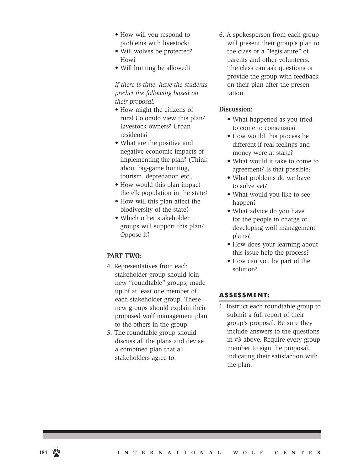- How will you respond to problems with livestock?
- Will wolves be protected? How?
- Will hunting be allowed?

*If there is time, have the students predict the following based on their proposal:*

- How might the citizens of rural Colorado view this plan? Livestock owners? Urban residents?
- What are the positive and negative economic impacts of implementing the plan? (Think about big-game hunting, tourism, depredation etc.)
- How would this plan impact the elk population in the state?
- How will this plan affect the biodiversity of the state?
- Which other stakeholder groups will support this plan? Oppose it?

#### **PART TWO:**

- 4. Representatives from each stakeholder group should join new "roundtable" groups, made up of at least one member of each stakeholder group. These new groups should explain their proposed wolf management plan to the others in the group.
- 5. The roundtable group should discuss all the plans and devise a combined plan that all stakeholders agree to.

6. A spokesperson from each group will present their group's plan to the class or a "legislature" of parents and other volunteers. The class can ask questions or provide the group with feedback on their plan after the presentation.

#### **Discussion:**

- What happened as you tried to come to consensus?
- How would this process be different if real feelings and money were at stake?
- What would it take to come to agreement? Is that possible?
- What problems do we have to solve yet?
- What would you like to see happen?
- What advice do you have for the people in charge of developing wolf management plans?
- How does your learning about this issue help the process?
- How can you be part of the solution?

#### **ASSESSMENT:**

1. Instruct each roundtable group to submit a full report of their group's proposal. Be sure they include answers to the questions in #3 above. Require every group member to sign the proposal, indicating their satisfaction with the plan.